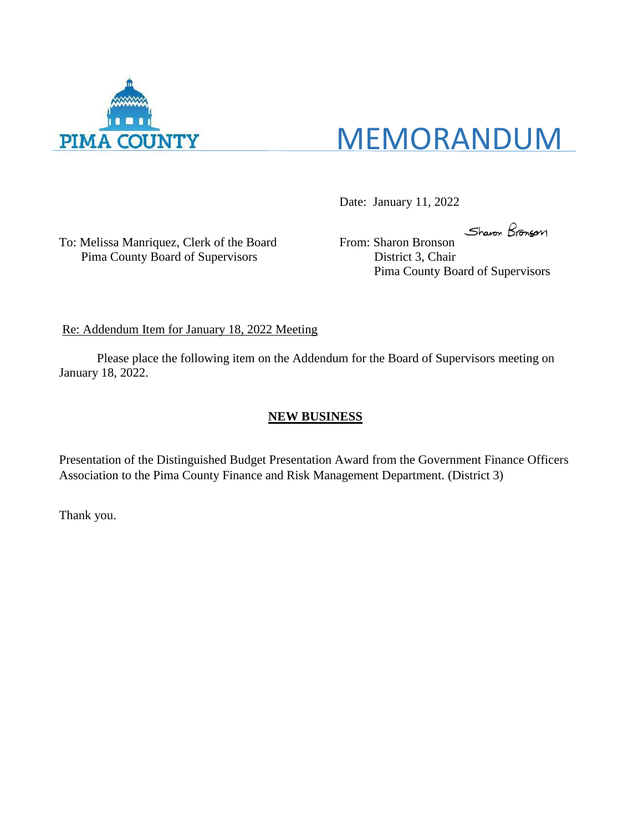

# MEMORANDUM

Date: January 11, 2022

To: Melissa Manriquez, Clerk of the Board From: Sharon Bronson Pima County Board of Supervisors District 3, Chair

Sharon Bronson

Pima County Board of Supervisors

Re: Addendum Item for January 18, 2022 Meeting

Please place the following item on the Addendum for the Board of Supervisors meeting on January 18, 2022.

#### **NEW BUSINESS**

Presentation of the Distinguished Budget Presentation Award from the Government Finance Officers Association to the Pima County Finance and Risk Management Department. (District 3)

Thank you.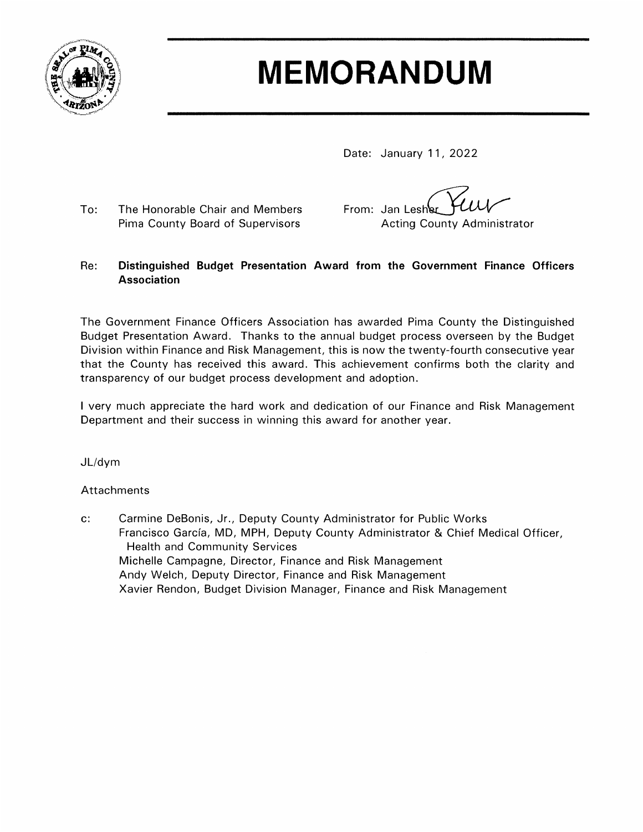

# **MEMORANDUM**

Date: January 11, 2022

The Honorable Chair and Members  $To:$ Pima County Board of Supervisors

From: Jan Lesher **Acting County Administrator** 

#### Distinguished Budget Presentation Award from the Government Finance Officers Re: **Association**

The Government Finance Officers Association has awarded Pima County the Distinguished Budget Presentation Award. Thanks to the annual budget process overseen by the Budget Division within Finance and Risk Management, this is now the twenty-fourth consecutive year that the County has received this award. This achievement confirms both the clarity and transparency of our budget process development and adoption.

I very much appreciate the hard work and dedication of our Finance and Risk Management Department and their success in winning this award for another year.

JL/dym

#### Attachments

 $\mathbf{C}$ : Carmine DeBonis, Jr., Deputy County Administrator for Public Works Francisco García, MD, MPH, Deputy County Administrator & Chief Medical Officer, **Health and Community Services** Michelle Campagne, Director, Finance and Risk Management Andy Welch, Deputy Director, Finance and Risk Management Xavier Rendon, Budget Division Manager, Finance and Risk Management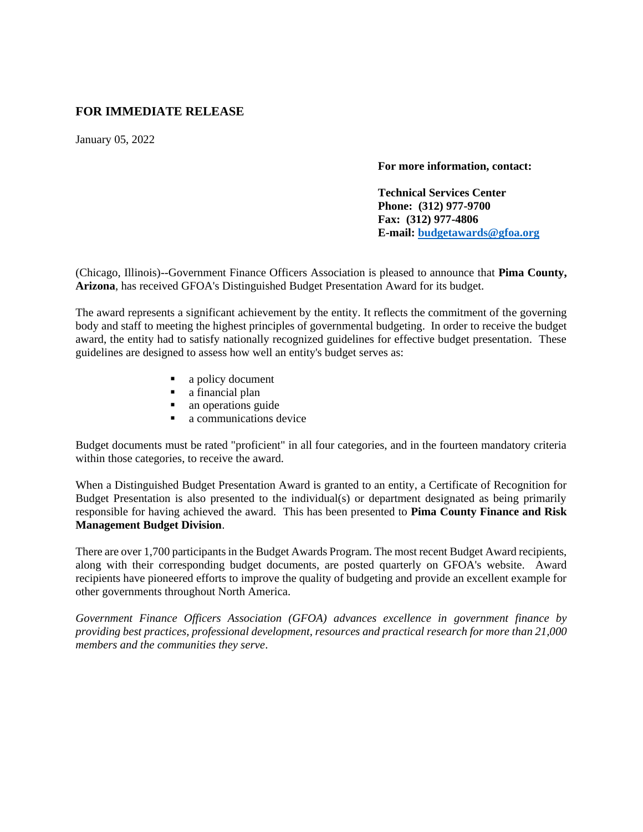#### **FOR IMMEDIATE RELEASE**

January 05, 2022

**For more information, contact:**

**Technical Services Center Phone: (312) 977-9700 Fax: (312) 977-4806 E-mail: [budgetawards@gfoa.org](mailto:budgetawards@gfoa.org)**

(Chicago, Illinois)--Government Finance Officers Association is pleased to announce that **Pima County, Arizona**, has received GFOA's Distinguished Budget Presentation Award for its budget.

The award represents a significant achievement by the entity. It reflects the commitment of the governing body and staff to meeting the highest principles of governmental budgeting. In order to receive the budget award, the entity had to satisfy nationally recognized guidelines for effective budget presentation. These guidelines are designed to assess how well an entity's budget serves as:

- a policy document
- a financial plan
- an operations guide
- a communications device

Budget documents must be rated "proficient" in all four categories, and in the fourteen mandatory criteria within those categories, to receive the award.

When a Distinguished Budget Presentation Award is granted to an entity, a Certificate of Recognition for Budget Presentation is also presented to the individual(s) or department designated as being primarily responsible for having achieved the award. This has been presented to **Pima County Finance and Risk Management Budget Division**.

There are over 1,700 participants in the Budget Awards Program. The most recent Budget Award recipients, along with their corresponding budget documents, are posted quarterly on GFOA's website. Award recipients have pioneered efforts to improve the quality of budgeting and provide an excellent example for other governments throughout North America.

*Government Finance Officers Association (GFOA) advances excellence in government finance by providing best practices, professional development, resources and practical research for more than 21,000 members and the communities they serve*.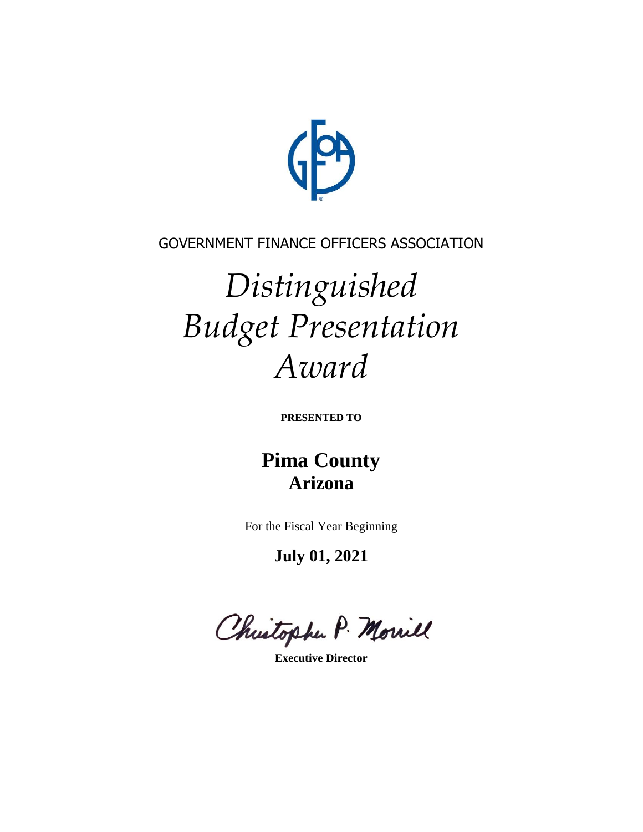

### GOVERNMENT FINANCE OFFICERS ASSOCIATION

# *Distinguished Budget Presentation Award*

**PRESENTED TO**

## **Pima County Arizona**

For the Fiscal Year Beginning

**July 01, 2021**

Christophe P. Morriel

**Executive Director**